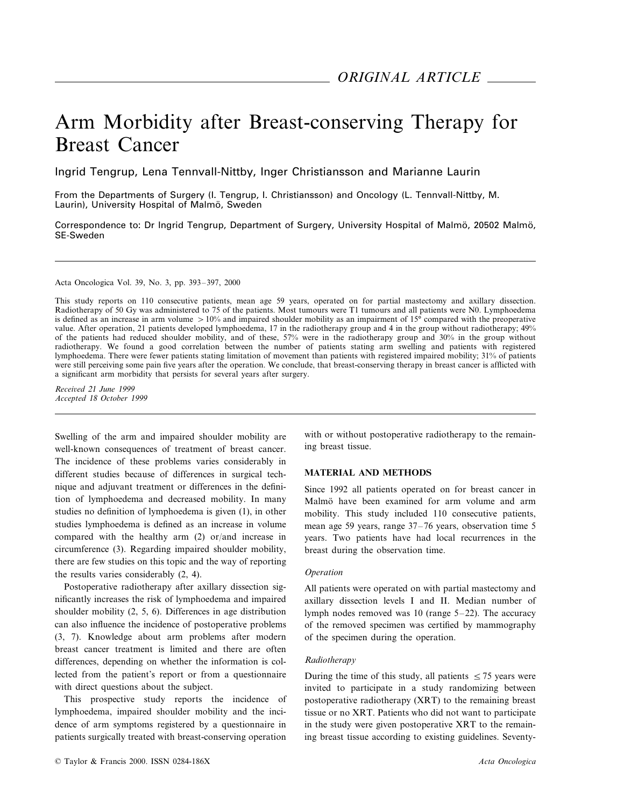# Arm Morbidity after Breast-conserving Therapy for Breast Cancer

Ingrid Tengrup, Lena Tennvall-Nittby, Inger Christiansson and Marianne Laurin

From the Departments of Surgery (I. Tengrup, I. Christiansson) and Oncology (L. Tennvall-Nittby, M. Laurin), University Hospital of Malmö, Sweden

Correspondence to: Dr Ingrid Tengrup, Department of Surgery, University Hospital of Malmö, 20502 Malmö, SE-Sweden

Acta Oncologica Vol. 39, No. 3, pp. 393–397, 2000

This study reports on 110 consecutive patients, mean age 59 years, operated on for partial mastectomy and axillary dissection. Radiotherapy of 50 Gy was administered to 75 of the patients. Most tumours were T1 tumours and all patients were N0. Lymphoedema is defined as an increase in arm volume  $>10\%$  and impaired shoulder mobility as an impairment of 15° compared with the preoperative value. After operation, 21 patients developed lymphoedema, 17 in the radiotherapy group and 4 in the group without radiotherapy; 49% of the patients had reduced shoulder mobility, and of these, 57% were in the radiotherapy group and 30% in the group without radiotherapy. We found a good correlation between the number of patients stating arm swelling and patients with registered lymphoedema. There were fewer patients stating limitation of movement than patients with registered impaired mobility; 31% of patients were still perceiving some pain five years after the operation. We conclude, that breast-conserving therapy in breast cancer is afflicted with a significant arm morbidity that persists for several years after surgery.

*Recei*6*ed* <sup>21</sup> *June* <sup>1999</sup> *Accepted* 18 *October* 1999

Swelling of the arm and impaired shoulder mobility are well-known consequences of treatment of breast cancer. The incidence of these problems varies considerably in different studies because of differences in surgical technique and adjuvant treatment or differences in the definition of lymphoedema and decreased mobility. In many studies no definition of lymphoedema is given (1), in other studies lymphoedema is defined as an increase in volume compared with the healthy arm (2) or/and increase in circumference (3). Regarding impaired shoulder mobility, there are few studies on this topic and the way of reporting the results varies considerably (2, 4).

Postoperative radiotherapy after axillary dissection significantly increases the risk of lymphoedema and impaired shoulder mobility (2, 5, 6). Differences in age distribution can also influence the incidence of postoperative problems (3, 7). Knowledge about arm problems after modern breast cancer treatment is limited and there are often differences, depending on whether the information is collected from the patient's report or from a questionnaire with direct questions about the subject.

This prospective study reports the incidence of lymphoedema, impaired shoulder mobility and the incidence of arm symptoms registered by a questionnaire in patients surgically treated with breast-conserving operation

© Taylor & Francis 2000. ISSN 0284-186X *Acta Oncologica*

with or without postoperative radiotherapy to the remaining breast tissue.

## **MATERIAL AND METHODS**

Since 1992 all patients operated on for breast cancer in Malmö have been examined for arm volume and arm mobility. This study included 110 consecutive patients, mean age 59 years, range 37–76 years, observation time 5 years. Two patients have had local recurrences in the breast during the observation time.

## *Operation*

All patients were operated on with partial mastectomy and axillary dissection levels I and II. Median number of lymph nodes removed was 10 (range 5–22). The accuracy of the removed specimen was certified by mammography of the specimen during the operation.

## *Radiotherapy*

During the time of this study, all patients  $\leq$  75 years were invited to participate in a study randomizing between postoperative radiotherapy (XRT) to the remaining breast tissue or no XRT. Patients who did not want to participate in the study were given postoperative XRT to the remaining breast tissue according to existing guidelines. Seventy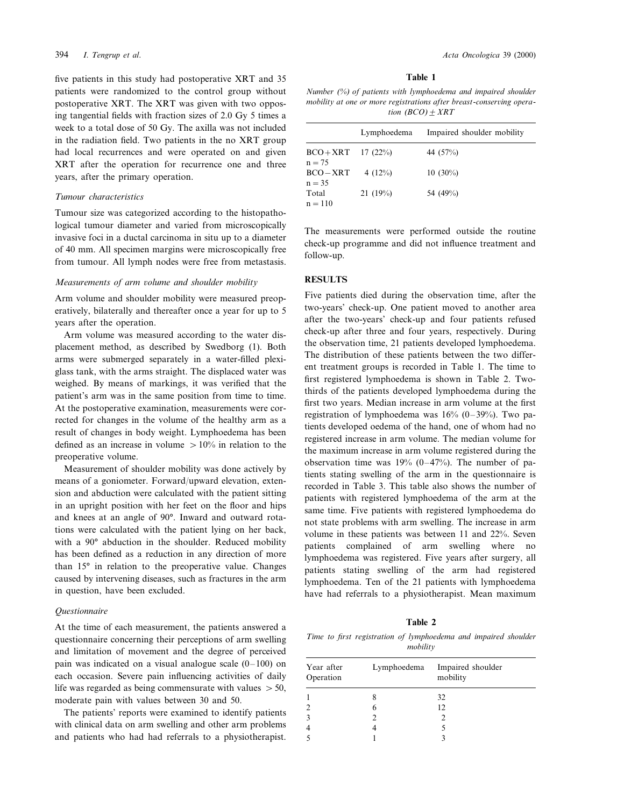five patients in this study had postoperative XRT and 35 patients were randomized to the control group without postoperative XRT. The XRT was given with two opposing tangential fields with fraction sizes of 2.0 Gy 5 times a week to a total dose of 50 Gy. The axilla was not included in the radiation field. Two patients in the no XRT group had local recurrences and were operated on and given XRT after the operation for recurrence one and three years, after the primary operation.

## *Tumour characteristics*

Tumour size was categorized according to the histopathological tumour diameter and varied from microscopically invasive foci in a ductal carcinoma in situ up to a diameter of 40 mm. All specimen margins were microscopically free from tumour. All lymph nodes were free from metastasis.

#### *Measurements of arm volume and shoulder mobility*

Arm volume and shoulder mobility were measured preoperatively, bilaterally and thereafter once a year for up to 5 years after the operation.

Arm volume was measured according to the water displacement method, as described by Swedborg (1). Both arms were submerged separately in a water-filled plexiglass tank, with the arms straight. The displaced water was weighed. By means of markings, it was verified that the patient's arm was in the same position from time to time. At the postoperative examination, measurements were corrected for changes in the volume of the healthy arm as a result of changes in body weight. Lymphoedema has been defined as an increase in volume  $> 10\%$  in relation to the preoperative volume.

Measurement of shoulder mobility was done actively by means of a goniometer. Forward/upward elevation, extension and abduction were calculated with the patient sitting in an upright position with her feet on the floor and hips and knees at an angle of 90°. Inward and outward rotations were calculated with the patient lying on her back, with a 90° abduction in the shoulder. Reduced mobility has been defined as a reduction in any direction of more than 15° in relation to the preoperative value. Changes caused by intervening diseases, such as fractures in the arm in question, have been excluded.

## *Questionnaire*

At the time of each measurement, the patients answered a questionnaire concerning their perceptions of arm swelling and limitation of movement and the degree of perceived pain was indicated on a visual analogue scale  $(0-100)$  on each occasion. Severe pain influencing activities of daily life was regarded as being commensurate with values  $> 50$ , moderate pain with values between 30 and 50.

The patients' reports were examined to identify patients with clinical data on arm swelling and other arm problems and patients who had had referrals to a physiotherapist.

#### **Table 1**

*Number* (%) *of patients with lymphoedema and impaired shoulder mobility at one or more registrations after breast-conserving operation*  $(BCO) \pm XRT$ 

|                       | Lymphoedema | Impaired shoulder mobility |
|-----------------------|-------------|----------------------------|
| $BCO+XRT$<br>$n = 75$ | 17(22%)     | 44 (57%)                   |
| $BCO-XRT$<br>$n = 35$ | 4 $(12%)$   | $10(30\%)$                 |
| Total<br>$n = 110$    | 21(19%)     | 54 (49%)                   |

The measurements were performed outside the routine check-up programme and did not influence treatment and follow-up.

## **RESULTS**

Five patients died during the observation time, after the two-years' check-up. One patient moved to another area after the two-years' check-up and four patients refused check-up after three and four years, respectively. During the observation time, 21 patients developed lymphoedema. The distribution of these patients between the two different treatment groups is recorded in Table 1. The time to first registered lymphoedema is shown in Table 2. Twothirds of the patients developed lymphoedema during the first two years. Median increase in arm volume at the first registration of lymphoedema was 16% (0–39%). Two patients developed oedema of the hand, one of whom had no registered increase in arm volume. The median volume for the maximum increase in arm volume registered during the observation time was  $19\%$  (0–47%). The number of patients stating swelling of the arm in the questionnaire is recorded in Table 3. This table also shows the number of patients with registered lymphoedema of the arm at the same time. Five patients with registered lymphoedema do not state problems with arm swelling. The increase in arm volume in these patients was between 11 and 22%. Seven patients complained of arm swelling where no lymphoedema was registered. Five years after surgery, all patients stating swelling of the arm had registered lymphoedema. Ten of the 21 patients with lymphoedema have had referrals to a physiotherapist. Mean maximum

# **Table 2**

*Time to first registration of lymphoedema and impaired shoulder mobility*

| Year after<br>Operation | Lymphoedema | Impaired shoulder<br>mobility |
|-------------------------|-------------|-------------------------------|
|                         |             | 32                            |
|                         | 6           | 12                            |
|                         |             |                               |
|                         |             |                               |
|                         |             |                               |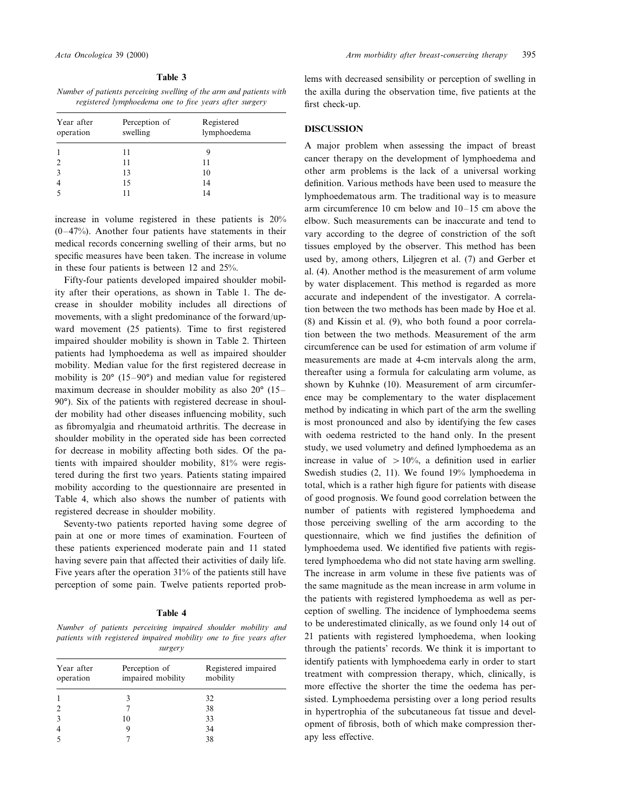| n<br>H<br>۰,<br>v |  |
|-------------------|--|
|                   |  |

*Number of patients perceiving swelling of the arm and patients with registered lymphoedema one to five years after surgery* 

| Year after<br>operation | Perception of<br>swelling | Registered<br>lymphoedema |
|-------------------------|---------------------------|---------------------------|
|                         | 11                        |                           |
|                         | 11                        | 11                        |
| 3                       | 13                        | 10                        |
|                         | 15                        | 14                        |
|                         |                           | 14                        |

increase in volume registered in these patients is 20%  $(0-47%)$ . Another four patients have statements in their medical records concerning swelling of their arms, but no specific measures have been taken. The increase in volume in these four patients is between 12 and 25%.

Fifty-four patients developed impaired shoulder mobility after their operations, as shown in Table 1. The decrease in shoulder mobility includes all directions of movements, with a slight predominance of the forward/upward movement (25 patients). Time to first registered impaired shoulder mobility is shown in Table 2. Thirteen patients had lymphoedema as well as impaired shoulder mobility. Median value for the first registered decrease in mobility is 20° (15–90°) and median value for registered maximum decrease in shoulder mobility as also 20° (15– 90°). Six of the patients with registered decrease in shoulder mobility had other diseases influencing mobility, such as fibromyalgia and rheumatoid arthritis. The decrease in shoulder mobility in the operated side has been corrected for decrease in mobility affecting both sides. Of the patients with impaired shoulder mobility, 81% were registered during the first two years. Patients stating impaired mobility according to the questionnaire are presented in Table 4, which also shows the number of patients with registered decrease in shoulder mobility.

Seventy-two patients reported having some degree of pain at one or more times of examination. Fourteen of these patients experienced moderate pain and 11 stated having severe pain that affected their activities of daily life. Five years after the operation 31% of the patients still have perception of some pain. Twelve patients reported prob-

#### **Table 4**

*Number of patients perceiving impaired shoulder mobility and patients with registered impaired mobility one to five years after surgery*

| Year after<br>operation | Perception of<br>impaired mobility | Registered impaired<br>mobility |
|-------------------------|------------------------------------|---------------------------------|
|                         |                                    | 32                              |
|                         |                                    | 38                              |
|                         | 10                                 | 33                              |
|                         |                                    | 34                              |
|                         |                                    | 38                              |

lems with decreased sensibility or perception of swelling in the axilla during the observation time, five patients at the first check-up.

# **DISCUSSION**

A major problem when assessing the impact of breast cancer therapy on the development of lymphoedema and other arm problems is the lack of a universal working definition. Various methods have been used to measure the lymphoedematous arm. The traditional way is to measure arm circumference 10 cm below and 10–15 cm above the elbow. Such measurements can be inaccurate and tend to vary according to the degree of constriction of the soft tissues employed by the observer. This method has been used by, among others, Liljegren et al. (7) and Gerber et al. (4). Another method is the measurement of arm volume by water displacement. This method is regarded as more accurate and independent of the investigator. A correlation between the two methods has been made by Hoe et al. (8) and Kissin et al. (9), who both found a poor correlation between the two methods. Measurement of the arm circumference can be used for estimation of arm volume if measurements are made at 4-cm intervals along the arm, thereafter using a formula for calculating arm volume, as shown by Kuhnke (10). Measurement of arm circumference may be complementary to the water displacement method by indicating in which part of the arm the swelling is most pronounced and also by identifying the few cases with oedema restricted to the hand only. In the present study, we used volumetry and defined lymphoedema as an increase in value of  $> 10\%$ , a definition used in earlier Swedish studies (2, 11). We found 19% lymphoedema in total, which is a rather high figure for patients with disease of good prognosis. We found good correlation between the number of patients with registered lymphoedema and those perceiving swelling of the arm according to the questionnaire, which we find justifies the definition of lymphoedema used. We identified five patients with registered lymphoedema who did not state having arm swelling. The increase in arm volume in these five patients was of the same magnitude as the mean increase in arm volume in the patients with registered lymphoedema as well as perception of swelling. The incidence of lymphoedema seems to be underestimated clinically, as we found only 14 out of 21 patients with registered lymphoedema, when looking through the patients' records. We think it is important to identify patients with lymphoedema early in order to start treatment with compression therapy, which, clinically, is more effective the shorter the time the oedema has persisted. Lymphoedema persisting over a long period results in hypertrophia of the subcutaneous fat tissue and development of fibrosis, both of which make compression therapy less effective.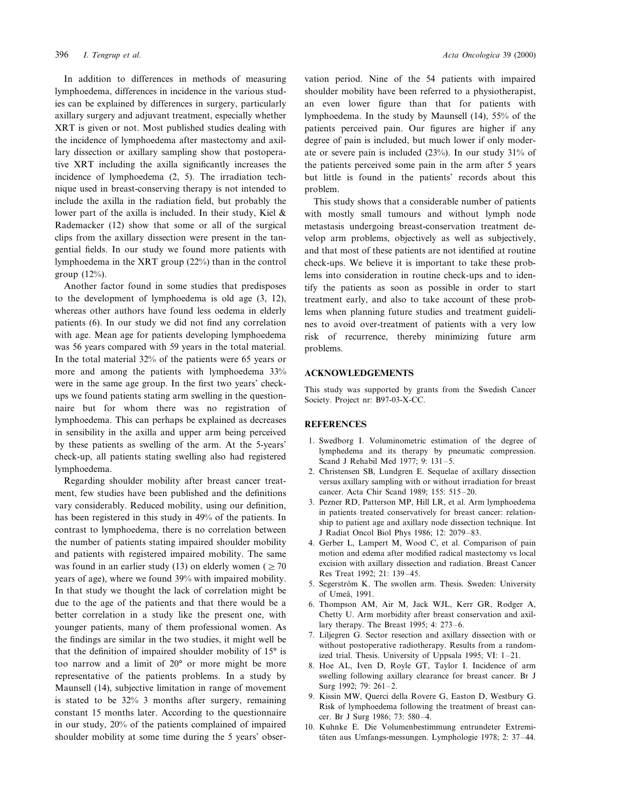In addition to differences in methods of measuring lymphoedema, differences in incidence in the various studies can be explained by differences in surgery, particularly axillary surgery and adjuvant treatment, especially whether XRT is given or not. Most published studies dealing with the incidence of lymphoedema after mastectomy and axillary dissection or axillary sampling show that postoperative XRT including the axilla significantly increases the incidence of lymphoedema (2, 5). The irradiation technique used in breast-conserving therapy is not intended to include the axilla in the radiation field, but probably the lower part of the axilla is included. In their study, Kiel & Rademacker (12) show that some or all of the surgical clips from the axillary dissection were present in the tangential fields. In our study we found more patients with lymphoedema in the XRT group (22%) than in the control group (12%).

Another factor found in some studies that predisposes to the development of lymphoedema is old age (3, 12), whereas other authors have found less oedema in elderly patients (6). In our study we did not find any correlation with age. Mean age for patients developing lymphoedema was 56 years compared with 59 years in the total material. In the total material 32% of the patients were 65 years or more and among the patients with lymphoedema 33% were in the same age group. In the first two years' checkups we found patients stating arm swelling in the questionnaire but for whom there was no registration of lymphoedema. This can perhaps be explained as decreases in sensibility in the axilla and upper arm being perceived by these patients as swelling of the arm. At the 5-years' check-up, all patients stating swelling also had registered lymphoedema.

Regarding shoulder mobility after breast cancer treatment, few studies have been published and the definitions vary considerably. Reduced mobility, using our definition, has been registered in this study in 49% of the patients. In contrast to lymphoedema, there is no correlation between the number of patients stating impaired shoulder mobility and patients with registered impaired mobility. The same was found in an earlier study (13) on elderly women ( $\geq$  70 years of age), where we found 39% with impaired mobility. In that study we thought the lack of correlation might be due to the age of the patients and that there would be a better correlation in a study like the present one, with younger patients, many of them professional women. As the findings are similar in the two studies, it might well be that the definition of impaired shoulder mobility of 15° is too narrow and a limit of 20° or more might be more representative of the patients problems. In a study by Maunsell (14), subjective limitation in range of movement is stated to be 32% 3 months after surgery, remaining constant 15 months later. According to the questionnaire in our study, 20% of the patients complained of impaired shoulder mobility at some time during the 5 years' observation period. Nine of the 54 patients with impaired shoulder mobility have been referred to a physiotherapist, an even lower figure than that for patients with lymphoedema. In the study by Maunsell (14), 55% of the patients perceived pain. Our figures are higher if any degree of pain is included, but much lower if only moderate or severe pain is included (23%). In our study 31% of the patients perceived some pain in the arm after 5 years but little is found in the patients' records about this problem.

This study shows that a considerable number of patients with mostly small tumours and without lymph node metastasis undergoing breast-conservation treatment develop arm problems, objectively as well as subjectively, and that most of these patients are not identified at routine check-ups. We believe it is important to take these problems into consideration in routine check-ups and to identify the patients as soon as possible in order to start treatment early, and also to take account of these problems when planning future studies and treatment guidelines to avoid over-treatment of patients with a very low risk of recurrence, thereby minimizing future arm problems.

#### **ACKNOWLEDGEMENTS**

This study was supported by grants from the Swedish Cancer Society. Project nr: B97-03-X-CC.

#### **REFERENCES**

- 1. Swedborg I. Voluminometric estimation of the degree of lymphedema and its therapy by pneumatic compression. Scand J Rehabil Med 1977; 9: 131–5.
- 2. Christensen SB, Lundgren E. Sequelae of axillary dissection versus axillary sampling with or without irradiation for breast cancer. Acta Chir Scand 1989; 155: 515–20.
- 3. Pezner RD, Patterson MP, Hill LR, et al. Arm lymphoedema in patients treated conservatively for breast cancer: relationship to patient age and axillary node dissection technique. Int J Radiat Oncol Biol Phys 1986; 12: 2079–83.
- 4. Gerber L, Lampert M, Wood C, et al. Comparison of pain motion and edema after modified radical mastectomy vs local excision with axillary dissection and radiation. Breast Cancer Res Treat 1992; 21: 139–45.
- 5. Segerström K. The swollen arm. Thesis. Sweden: University of Umeå, 1991.
- 6. Thompson AM, Air M, Jack WJL, Kerr GR, Rodger A, Chetty U. Arm morbidity after breast conservation and axillary therapy. The Breast 1995; 4: 273–6.
- 7. Liljegren G. Sector resection and axillary dissection with or without postoperative radiotherapy. Results from a randomized trial. Thesis. University of Uppsala 1995; VI: 1–21.
- 8. Hoe AL, Iven D, Royle GT, Taylor I. Incidence of arm swelling following axillary clearance for breast cancer. Br J Surg 1992; 79: 261–2.
- 9. Kissin MW, Querci della Rovere G, Easton D, Westbury G. Risk of lymphoedema following the treatment of breast cancer. Br J Surg 1986; 73: 580–4.
- 10. Kuhnke E. Die Volumenbestimmung entrundeter Extremitäten aus Umfangs-messungen. Lymphologie 1978; 2: 37–44.